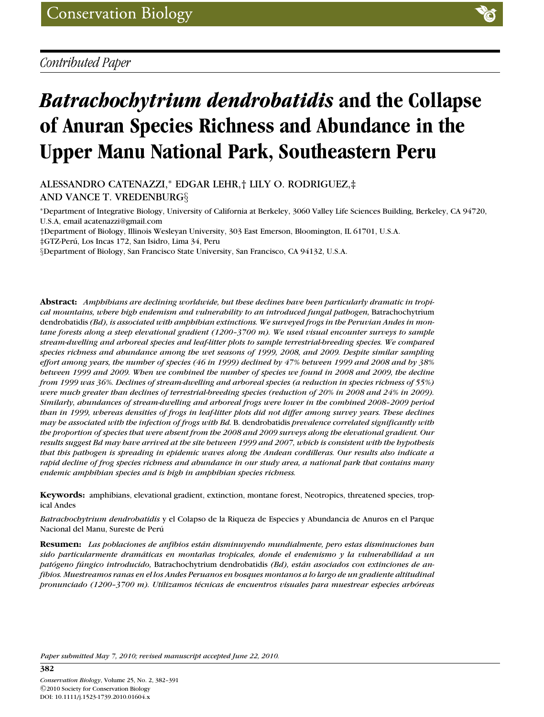# *Batrachochytrium dendrobatidis* **and the Collapse of Anuran Species Richness and Abundance in the Upper Manu National Park, Southeastern Peru**

ALESSANDRO CATENAZZI,<sup>∗</sup> EDGAR LEHR,† LILY O. RODRIGUEZ,‡ AND VANCE T. VREDENBURG§

<sup>∗</sup>Department of Integrative Biology, University of California at Berkeley, 3060 Valley Life Sciences Building, Berkeley, CA 94720, U.S.A, email acatenazzi@gmail.com

†Department of Biology, Illinois Wesleyan University, 303 East Emerson, Bloomington, IL 61701, U.S.A.

‡GTZ-Peru, Los Incas 172, San Isidro, Lima 34, Peru ´

§Department of Biology, San Francisco State University, San Francisco, CA 94132, U.S.A.

**Abstract:** *Amphibians are declining worldwide, but these declines have been particularly dramatic in tropical mountains, where high endemism and vulnerability to an introduced fungal pathogen,* Batrachochytrium dendrobatidis *(Bd), is associated with amphibian extinctions. We surveyed frogs in the Peruvian Andes in montane forests along a steep elevational gradient (1200–3700 m). We used visual encounter surveys to sample stream-dwelling and arboreal species and leaf-litter plots to sample terrestrial-breeding species. We compared species richness and abundance among the wet seasons of 1999, 2008, and 2009. Despite similar sampling effort among years, the number of species (46 in 1999) declined by 47% between 1999 and 2008 and by 38% between 1999 and 2009. When we combined the number of species we found in 2008 and 2009, the decline from 1999 was 36%. Declines of stream-dwelling and arboreal species (a reduction in species richness of 55%) were much greater than declines of terrestrial-breeding species (reduction of 20% in 2008 and 24% in 2009). Similarly, abundances of stream-dwelling and arboreal frogs were lower in the combined 2008–2009 period than in 1999, whereas densities of frogs in leaf-litter plots did not differ among survey years. These declines may be associated with the infection of frogs with Bd.* B. dendrobatidis *prevalence correlated significantly with the proportion of species that were absent from the 2008 and 2009 surveys along the elevational gradient. Our results suggest Bd may have arrived at the site between 1999 and 2007, which is consistent with the hypothesis that this pathogen is spreading in epidemic waves along the Andean cordilleras. Our results also indicate a rapid decline of frog species richness and abundance in our study area, a national park that contains many endemic amphibian species and is high in amphibian species richness.*

**Keywords:** amphibians, elevational gradient, extinction, montane forest, Neotropics, threatened species, tropical Andes

*Batrachochytrium dendrobatidis* y el Colapso de la Riqueza de Especies y Abundancia de Anuros en el Parque Nacional del Manu, Sureste de Perú

**Resumen:** *Las poblaciones de anfibios estan disminuyendo mundialmente, pero estas disminuciones han ´ sido particularmente dramaticas en monta ´ nas tropicales, donde el endemismo y la vulnerabilidad a un ˜ patogeno f ´ ungico introducido, ´* Batrachochytrium dendrobatidis *(Bd), estan asociados con extinciones de an- ´ fibios. Muestreamos ranas en el los Andes Peruanos en bosques montanos a lo largo de un gradiente altitudinal pronunciado (1200–3700 m). Utilizamos t´ecnicas de encuentros visuales para muestrear especies arboreas ´*

*Paper submitted May 7, 2010; revised manuscript accepted June 22, 2010.*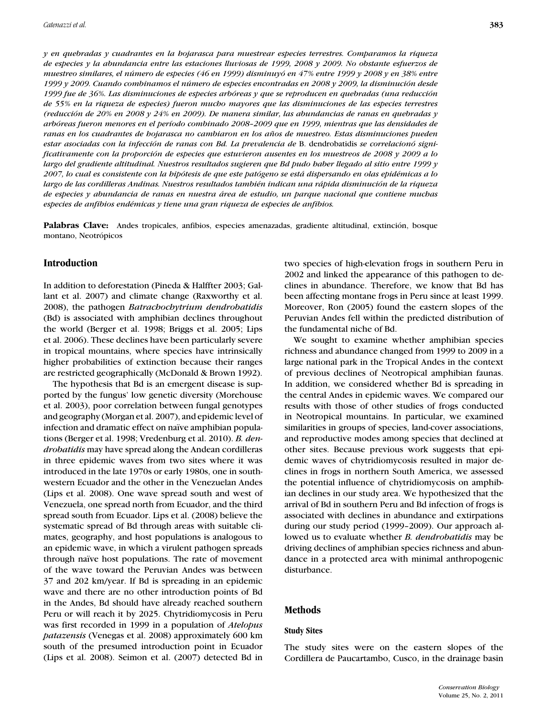*y en quebradas y cuadrantes en la hojarasca para muestrear especies terrestres. Comparamos la riqueza de especies y la abundancia entre las estaciones lluviosas de 1999, 2008 y 2009. No obstante esfuerzos de muestreo similares, el numero de especies (46 en 1999) disminuy ´ o en 47% entre 1999 y 2008 y en 38% entre ´ 1999 y 2009. Cuando combinamos el número de especies encontradas en 2008 y 2009, la disminución desde 1999 fue de 36%. Las disminuciones de especies arbóreas y que se reproducen en quebradas (una reducción de 55% en la riqueza de especies) fueron mucho mayores que las disminuciones de las especies terrestres (reduccion de 20% en 2008 y 24% en 2009). De manera similar, las abundancias de ranas en quebradas y ´ arboreas fueron menores en el per ´ ´ıodo combinado 2008–2009 que en 1999, mientras que las densidades de ranas en los cuadrantes de hojarasca no cambiaron en los anos de muestreo. Estas disminuciones pueden ˜* estar asociadas con la infección de ranas con Bd. La prevalencia de B. dendrobatidis se correlacionó signi*ficativamente con la proporcion de especies que estuvieron ausentes en los muestreos de 2008 y 2009 a lo ´ largo del gradiente altitudinal. Nuestros resultados sugieren que Bd pudo haber llegado al sitio entre 1999 y 2007, lo cual es consistente con la hipotesis de que este pat ´ ogeno se est ´ a dispersando en olas epid ´ ´emicas a lo largo de las cordilleras Andinas. Nuestros resultados tambi´en indican una rapida disminuci ´ on de la riqueza ´ de especies y abundancia de ranas en nuestra area de estudio, un parque nacional que contiene muchas ´ especies de anfibios end´emicas y tiene una gran riqueza de especies de anfibios.*

**Palabras Clave:** Andes tropicales, anfibios, especies amenazadas, gradiente altitudinal, extinción, bosque montano, Neotrópicos

# **Introduction**

In addition to deforestation (Pineda & Halffter 2003; Gallant et al. 2007) and climate change (Raxworthy et al. 2008), the pathogen *Batrachochytrium dendrobatidis* (Bd) is associated with amphibian declines throughout the world (Berger et al. 1998; Briggs et al. 2005; Lips et al. 2006). These declines have been particularly severe in tropical mountains, where species have intrinsically higher probabilities of extinction because their ranges are restricted geographically (McDonald & Brown 1992).

The hypothesis that Bd is an emergent disease is supported by the fungus' low genetic diversity (Morehouse et al. 2003), poor correlation between fungal genotypes and geography (Morgan et al. 2007), and epidemic level of infection and dramatic effect on naïve amphibian populations (Berger et al. 1998; Vredenburg et al. 2010). *B. dendrobatidis* may have spread along the Andean cordilleras in three epidemic waves from two sites where it was introduced in the late 1970s or early 1980s, one in southwestern Ecuador and the other in the Venezuelan Andes (Lips et al. 2008). One wave spread south and west of Venezuela, one spread north from Ecuador, and the third spread south from Ecuador. Lips et al. (2008) believe the systematic spread of Bd through areas with suitable climates, geography, and host populations is analogous to an epidemic wave, in which a virulent pathogen spreads through naïve host populations. The rate of movement of the wave toward the Peruvian Andes was between 37 and 202 km/year. If Bd is spreading in an epidemic wave and there are no other introduction points of Bd in the Andes, Bd should have already reached southern Peru or will reach it by 2025. Chytridiomycosis in Peru was first recorded in 1999 in a population of *Atelopus patazensis* (Venegas et al. 2008) approximately 600 km south of the presumed introduction point in Ecuador (Lips et al. 2008). Seimon et al. (2007) detected Bd in two species of high-elevation frogs in southern Peru in 2002 and linked the appearance of this pathogen to declines in abundance. Therefore, we know that Bd has been affecting montane frogs in Peru since at least 1999. Moreover, Ron (2005) found the eastern slopes of the Peruvian Andes fell within the predicted distribution of the fundamental niche of Bd.

We sought to examine whether amphibian species richness and abundance changed from 1999 to 2009 in a large national park in the Tropical Andes in the context of previous declines of Neotropical amphibian faunas. In addition, we considered whether Bd is spreading in the central Andes in epidemic waves. We compared our results with those of other studies of frogs conducted in Neotropical mountains. In particular, we examined similarities in groups of species, land-cover associations, and reproductive modes among species that declined at other sites. Because previous work suggests that epidemic waves of chytridiomycosis resulted in major declines in frogs in northern South America, we assessed the potential influence of chytridiomycosis on amphibian declines in our study area. We hypothesized that the arrival of Bd in southern Peru and Bd infection of frogs is associated with declines in abundance and extirpations during our study period (1999–2009). Our approach allowed us to evaluate whether *B. dendrobatidis* may be driving declines of amphibian species richness and abundance in a protected area with minimal anthropogenic disturbance.

# **Methods**

#### **Study Sites**

The study sites were on the eastern slopes of the Cordillera de Paucartambo, Cusco, in the drainage basin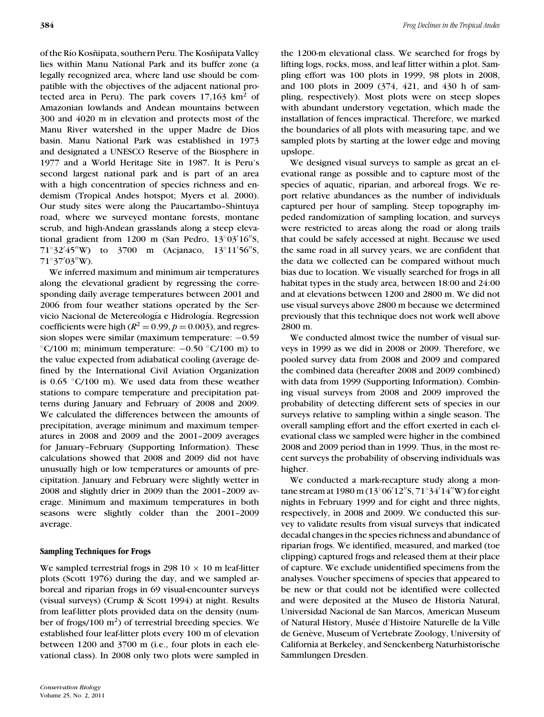of the Río Kosñipata, southern Peru. The Kosñipata Valley lies within Manu National Park and its buffer zone (a legally recognized area, where land use should be compatible with the objectives of the adjacent national protected area in Peru). The park covers  $17,163$  km<sup>2</sup> of Amazonian lowlands and Andean mountains between 300 and 4020 m in elevation and protects most of the Manu River watershed in the upper Madre de Dios basin. Manu National Park was established in 1973 and designated a UNESCO Reserve of the Biosphere in 1977 and a World Heritage Site in 1987. It is Peru's second largest national park and is part of an area with a high concentration of species richness and endemism (Tropical Andes hotspot; Myers et al. 2000). Our study sites were along the Paucartambo–Shintuya road, where we surveyed montane forests, montane scrub, and high-Andean grasslands along a steep elevational gradient from  $1200$  m (San Pedro,  $13^{\circ}03'16''$ S, 71°32′45″W) to 3700 m (Acjanaco, 13°11′56″S,  $71^{\circ}37'03''$ W).

We inferred maximum and minimum air temperatures along the elevational gradient by regressing the corresponding daily average temperatures between 2001 and 2006 from four weather stations operated by the Servicio Nacional de Metereología e Hidrología. Regression coefficients were high ( $R^2 = 0.99$ ,  $p = 0.003$ ), and regression slopes were similar (maximum temperature:  $-0.59$ ) °C/100 m; minimum temperature:  $-0.50$  °C/100 m) to the value expected from adiabatical cooling (average defined by the International Civil Aviation Organization is  $0.65$   $°C/100$  m). We used data from these weather stations to compare temperature and precipitation patterns during January and February of 2008 and 2009. We calculated the differences between the amounts of precipitation, average minimum and maximum temperatures in 2008 and 2009 and the 2001–2009 averages for January–February (Supporting Information). These calculations showed that 2008 and 2009 did not have unusually high or low temperatures or amounts of precipitation. January and February were slightly wetter in 2008 and slightly drier in 2009 than the 2001–2009 average. Minimum and maximum temperatures in both seasons were slightly colder than the 2001–2009 average.

# **Sampling Techniques for Frogs**

We sampled terrestrial frogs in 298  $10 \times 10$  m leaf-litter plots (Scott 1976) during the day, and we sampled arboreal and riparian frogs in 69 visual-encounter surveys (visual surveys) (Crump & Scott 1994) at night. Results from leaf-litter plots provided data on the density (number of frogs/100  $\text{m}^2$ ) of terrestrial breeding species. We established four leaf-litter plots every 100 m of elevation between 1200 and 3700 m (i.e., four plots in each elevational class). In 2008 only two plots were sampled in

the 1200-m elevational class. We searched for frogs by lifting logs, rocks, moss, and leaf litter within a plot. Sampling effort was 100 plots in 1999, 98 plots in 2008, and 100 plots in 2009 (374, 421, and 430 h of sampling, respectively). Most plots were on steep slopes with abundant understory vegetation, which made the installation of fences impractical. Therefore, we marked the boundaries of all plots with measuring tape, and we sampled plots by starting at the lower edge and moving upslope.

We designed visual surveys to sample as great an elevational range as possible and to capture most of the species of aquatic, riparian, and arboreal frogs. We report relative abundances as the number of individuals captured per hour of sampling. Steep topography impeded randomization of sampling location, and surveys were restricted to areas along the road or along trails that could be safely accessed at night. Because we used the same road in all survey years, we are confident that the data we collected can be compared without much bias due to location. We visually searched for frogs in all habitat types in the study area, between 18:00 and 24:00 and at elevations between 1200 and 2800 m. We did not use visual surveys above 2800 m because we determined previously that this technique does not work well above 2800 m.

We conducted almost twice the number of visual surveys in 1999 as we did in 2008 or 2009. Therefore, we pooled survey data from 2008 and 2009 and compared the combined data (hereafter 2008 and 2009 combined) with data from 1999 (Supporting Information). Combining visual surveys from 2008 and 2009 improved the probability of detecting different sets of species in our surveys relative to sampling within a single season. The overall sampling effort and the effort exerted in each elevational class we sampled were higher in the combined 2008 and 2009 period than in 1999. Thus, in the most recent surveys the probability of observing individuals was higher.

We conducted a mark-recapture study along a montane stream at 1980 m (13°06′12″S, 71°34′14″W) for eight nights in February 1999 and for eight and three nights, respectively, in 2008 and 2009. We conducted this survey to validate results from visual surveys that indicated decadal changes in the species richness and abundance of riparian frogs. We identified, measured, and marked (toe clipping) captured frogs and released them at their place of capture. We exclude unidentified specimens from the analyses. Voucher specimens of species that appeared to be new or that could not be identified were collected and were deposited at the Museo de Historia Natural, Universidad Nacional de San Marcos, American Museum of Natural History, Musée d'Histoire Naturelle de la Ville de Genève, Museum of Vertebrate Zoology, University of California at Berkeley, and Senckenberg Naturhistorische Sammlungen Dresden.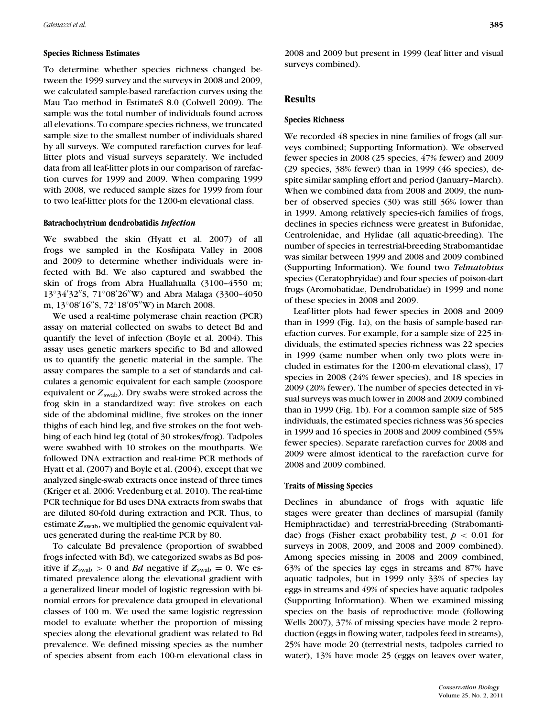#### **Species Richness Estimates**

To determine whether species richness changed between the 1999 survey and the surveys in 2008 and 2009, we calculated sample-based rarefaction curves using the Mau Tao method in EstimateS 8.0 (Colwell 2009). The sample was the total number of individuals found across all elevations. To compare species richness, we truncated sample size to the smallest number of individuals shared by all surveys. We computed rarefaction curves for leaflitter plots and visual surveys separately. We included data from all leaf-litter plots in our comparison of rarefaction curves for 1999 and 2009. When comparing 1999 with 2008, we reduced sample sizes for 1999 from four to two leaf-litter plots for the 1200-m elevational class.

#### **Batrachochytrium dendrobatidis** *Infection*

We swabbed the skin (Hyatt et al. 2007) of all frogs we sampled in the Kosñipata Valley in 2008 and 2009 to determine whether individuals were infected with Bd. We also captured and swabbed the skin of frogs from Abra Huallahualla (3100–4550 m; 13°34'32"S, 71°08'26"W) and Abra Malaga (3300-4050 m, 13°08′16″S, 72°18′05″W) in March 2008.

We used a real-time polymerase chain reaction (PCR) assay on material collected on swabs to detect Bd and quantify the level of infection (Boyle et al. 2004). This assay uses genetic markers specific to Bd and allowed us to quantify the genetic material in the sample. The assay compares the sample to a set of standards and calculates a genomic equivalent for each sample (zoospore equivalent or  $Z_{swab}$ ). Dry swabs were stroked across the frog skin in a standardized way: five strokes on each side of the abdominal midline, five strokes on the inner thighs of each hind leg, and five strokes on the foot webbing of each hind leg (total of 30 strokes/frog). Tadpoles were swabbed with 10 strokes on the mouthparts. We followed DNA extraction and real-time PCR methods of Hyatt et al. (2007) and Boyle et al. (2004), except that we analyzed single-swab extracts once instead of three times (Kriger et al. 2006; Vredenburg et al. 2010). The real-time PCR technique for Bd uses DNA extracts from swabs that are diluted 80-fold during extraction and PCR. Thus, to estimate  $Z_{\text{swab}}$ , we multiplied the genomic equivalent values generated during the real-time PCR by 80.

To calculate Bd prevalence (proportion of swabbed frogs infected with Bd), we categorized swabs as Bd positive if  $Z_{\text{swab}} > 0$  and *Bd* negative if  $Z_{\text{swab}} = 0$ . We estimated prevalence along the elevational gradient with a generalized linear model of logistic regression with binomial errors for prevalence data grouped in elevational classes of 100 m. We used the same logistic regression model to evaluate whether the proportion of missing species along the elevational gradient was related to Bd prevalence. We defined missing species as the number of species absent from each 100-m elevational class in 2008 and 2009 but present in 1999 (leaf litter and visual surveys combined).

## **Results**

# **Species Richness**

We recorded 48 species in nine families of frogs (all surveys combined; Supporting Information). We observed fewer species in 2008 (25 species, 47% fewer) and 2009 (29 species, 38% fewer) than in 1999 (46 species), despite similar sampling effort and period (January–March). When we combined data from 2008 and 2009, the number of observed species (30) was still 36% lower than in 1999. Among relatively species-rich families of frogs, declines in species richness were greatest in Bufonidae, Centrolenidae, and Hylidae (all aquatic-breeding). The number of species in terrestrial-breeding Strabomantidae was similar between 1999 and 2008 and 2009 combined (Supporting Information). We found two *Telmatobius* species (Ceratophryidae) and four species of poison-dart frogs (Aromobatidae, Dendrobatidae) in 1999 and none of these species in 2008 and 2009.

Leaf-litter plots had fewer species in 2008 and 2009 than in 1999 (Fig. 1a), on the basis of sample-based rarefaction curves. For example, for a sample size of 225 individuals, the estimated species richness was 22 species in 1999 (same number when only two plots were included in estimates for the 1200-m elevational class), 17 species in 2008 (24% fewer species), and 18 species in 2009 (20% fewer). The number of species detected in visual surveys was much lower in 2008 and 2009 combined than in 1999 (Fig. 1b). For a common sample size of 585 individuals, the estimated species richness was 36 species in 1999 and 16 species in 2008 and 2009 combined (55% fewer species). Separate rarefaction curves for 2008 and 2009 were almost identical to the rarefaction curve for 2008 and 2009 combined.

### **Traits of Missing Species**

Declines in abundance of frogs with aquatic life stages were greater than declines of marsupial (family Hemiphractidae) and terrestrial-breeding (Strabomantidae) frogs (Fisher exact probability test,  $p < 0.01$  for surveys in 2008, 2009, and 2008 and 2009 combined). Among species missing in 2008 and 2009 combined, 63% of the species lay eggs in streams and 87% have aquatic tadpoles, but in 1999 only 33% of species lay eggs in streams and 49% of species have aquatic tadpoles (Supporting Information). When we examined missing species on the basis of reproductive mode (following Wells 2007), 37% of missing species have mode 2 reproduction (eggs in flowing water, tadpoles feed in streams), 25% have mode 20 (terrestrial nests, tadpoles carried to water), 13% have mode 25 (eggs on leaves over water,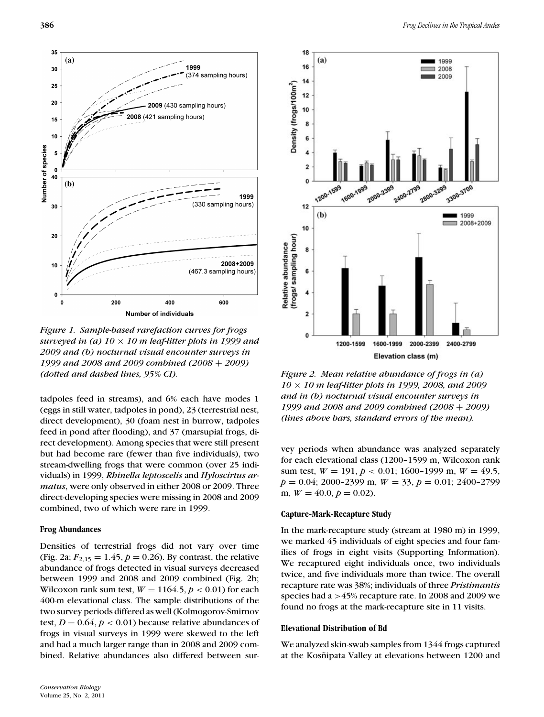

*Figure 1. Sample-based rarefaction curves for frogs surveyed in (a) 10* × *10 m leaf-litter plots in 1999 and 2009 and (b) nocturnal visual encounter surveys in 1999 and 2008 and 2009 combined (2008* + *2009) (dotted and dashed lines, 95% CI).*

tadpoles feed in streams), and 6% each have modes 1 (eggs in still water, tadpoles in pond), 23 (terrestrial nest, direct development), 30 (foam nest in burrow, tadpoles feed in pond after flooding), and 37 (marsupial frogs, direct development). Among species that were still present but had become rare (fewer than five individuals), two stream-dwelling frogs that were common (over 25 individuals) in 1999, *Rhinella leptoscelis* and *Hyloscirtus armatus*, were only observed in either 2008 or 2009. Three direct-developing species were missing in 2008 and 2009 combined, two of which were rare in 1999.

#### **Frog Abundances**

Densities of terrestrial frogs did not vary over time (Fig. 2a;  $F_{2,15} = 1.45$ ,  $p = 0.26$ ). By contrast, the relative abundance of frogs detected in visual surveys decreased between 1999 and 2008 and 2009 combined (Fig. 2b; Wilcoxon rank sum test,  $W = 1164.5, p < 0.01$  for each 400-m elevational class. The sample distributions of the two survey periods differed as well (Kolmogorov-Smirnov test,  $D = 0.64$ ,  $p < 0.01$ ) because relative abundances of frogs in visual surveys in 1999 were skewed to the left and had a much larger range than in 2008 and 2009 combined. Relative abundances also differed between sur-



*Figure 2. Mean relative abundance of frogs in (a) 10* × *10 m leaf-litter plots in 1999, 2008, and 2009 and in (b) nocturnal visual encounter surveys in 1999 and 2008 and 2009 combined (2008* + *2009) (lines above bars, standard errors of the mean).*

vey periods when abundance was analyzed separately for each elevational class (1200–1599 m, Wilcoxon rank sum test, *W* = 191, *p* < 0.01; 1600–1999 m, *W* = 49.5, *p* = 0.04; 2000–2399 m, *W* = 33, *p* = 0.01; 2400–2799 m,  $W = 40.0, p = 0.02$ .

#### **Capture-Mark-Recapture Study**

In the mark-recapture study (stream at 1980 m) in 1999, we marked 45 individuals of eight species and four families of frogs in eight visits (Supporting Information). We recaptured eight individuals once, two individuals twice, and five individuals more than twice. The overall recapture rate was 38%; individuals of three *Pristimantis* species had a >45% recapture rate. In 2008 and 2009 we found no frogs at the mark-recapture site in 11 visits.

#### **Elevational Distribution of Bd**

We analyzed skin-swab samples from 1344 frogs captured at the Kosñipata Valley at elevations between 1200 and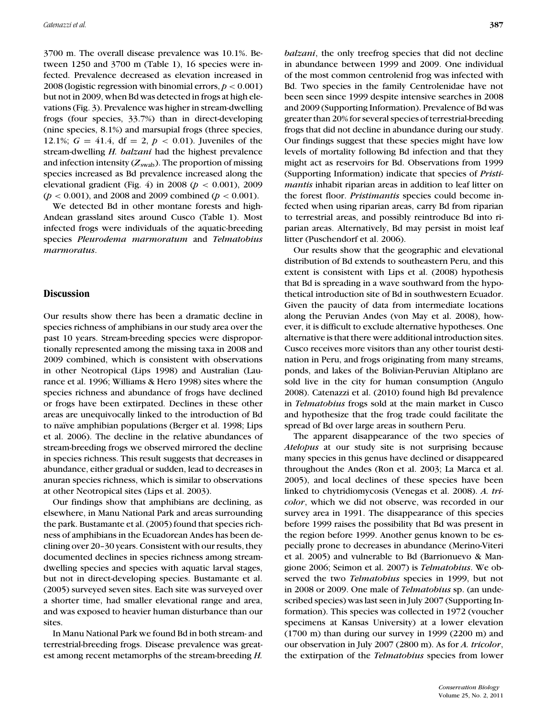3700 m. The overall disease prevalence was 10.1%. Between 1250 and 3700 m (Table 1), 16 species were infected. Prevalence decreased as elevation increased in 2008 (logistic regression with binomial errors, *p* < 0.001) but not in 2009, when Bd was detected in frogs at high elevations (Fig. 3). Prevalence was higher in stream-dwelling frogs (four species, 33.7%) than in direct-developing (nine species, 8.1%) and marsupial frogs (three species, 12.1%;  $G = 41.4$ , df = 2,  $p < 0.01$ ). Juveniles of the stream-dwelling *H. balzani* had the highest prevalence and infection intensity  $(Z_{swab})$ . The proportion of missing species increased as Bd prevalence increased along the elevational gradient (Fig. 4) in 2008 (*p* < 0.001), 2009 (*p* < 0.001), and 2008 and 2009 combined (*p* < 0.001).

We detected Bd in other montane forests and high-Andean grassland sites around Cusco (Table 1). Most infected frogs were individuals of the aquatic-breeding species *Pleurodema marmoratum* and *Telmatobius marmoratus*.

# **Discussion**

Our results show there has been a dramatic decline in species richness of amphibians in our study area over the past 10 years. Stream-breeding species were disproportionally represented among the missing taxa in 2008 and 2009 combined, which is consistent with observations in other Neotropical (Lips 1998) and Australian (Laurance et al. 1996; Williams & Hero 1998) sites where the species richness and abundance of frogs have declined or frogs have been extirpated. Declines in these other areas are unequivocally linked to the introduction of Bd to naïve amphibian populations (Berger et al. 1998; Lips et al. 2006). The decline in the relative abundances of stream-breeding frogs we observed mirrored the decline in species richness. This result suggests that decreases in abundance, either gradual or sudden, lead to decreases in anuran species richness, which is similar to observations at other Neotropical sites (Lips et al. 2003).

Our findings show that amphibians are declining, as elsewhere, in Manu National Park and areas surrounding the park. Bustamante et al. (2005) found that species richness of amphibians in the Ecuadorean Andes has been declining over 20–30 years. Consistent with our results, they documented declines in species richness among streamdwelling species and species with aquatic larval stages, but not in direct-developing species. Bustamante et al. (2005) surveyed seven sites. Each site was surveyed over a shorter time, had smaller elevational range and area, and was exposed to heavier human disturbance than our sites.

In Manu National Park we found Bd in both stream- and terrestrial-breeding frogs. Disease prevalence was greatest among recent metamorphs of the stream-breeding *H.*

*balzani*, the only treefrog species that did not decline in abundance between 1999 and 2009. One individual of the most common centrolenid frog was infected with Bd. Two species in the family Centrolenidae have not been seen since 1999 despite intensive searches in 2008 and 2009 (Supporting Information). Prevalence of Bd was greater than 20% for several species of terrestrial-breeding frogs that did not decline in abundance during our study. Our findings suggest that these species might have low levels of mortality following Bd infection and that they might act as reservoirs for Bd. Observations from 1999 (Supporting Information) indicate that species of *Pristimantis* inhabit riparian areas in addition to leaf litter on the forest floor. *Pristimantis* species could become infected when using riparian areas, carry Bd from riparian to terrestrial areas, and possibly reintroduce Bd into riparian areas. Alternatively, Bd may persist in moist leaf litter (Puschendorf et al. 2006).

Our results show that the geographic and elevational distribution of Bd extends to southeastern Peru, and this extent is consistent with Lips et al. (2008) hypothesis that Bd is spreading in a wave southward from the hypothetical introduction site of Bd in southwestern Ecuador. Given the paucity of data from intermediate locations along the Peruvian Andes (von May et al. 2008), however, it is difficult to exclude alternative hypotheses. One alternative is that there were additional introduction sites. Cusco receives more visitors than any other tourist destination in Peru, and frogs originating from many streams, ponds, and lakes of the Bolivian-Peruvian Altiplano are sold live in the city for human consumption (Angulo 2008). Catenazzi et al. (2010) found high Bd prevalence in *Telmatobius* frogs sold at the main market in Cusco and hypothesize that the frog trade could facilitate the spread of Bd over large areas in southern Peru.

The apparent disappearance of the two species of *Atelopus* at our study site is not surprising because many species in this genus have declined or disappeared throughout the Andes (Ron et al. 2003; La Marca et al. 2005), and local declines of these species have been linked to chytridiomycosis (Venegas et al. 2008). *A. tricolor*, which we did not observe, was recorded in our survey area in 1991. The disappearance of this species before 1999 raises the possibility that Bd was present in the region before 1999. Another genus known to be especially prone to decreases in abundance (Merino-Viteri et al. 2005) and vulnerable to Bd (Barrionuevo & Mangione 2006; Seimon et al. 2007) is *Telmatobius*. We observed the two *Telmatobius* species in 1999, but not in 2008 or 2009. One male of *Telmatobius* sp. (an undescribed species) was last seen in July 2007 (Supporting Information). This species was collected in 1972 (voucher specimens at Kansas University) at a lower elevation (1700 m) than during our survey in 1999 (2200 m) and our observation in July 2007 (2800 m). As for *A. tricolor*, the extirpation of the *Telmatobius* species from lower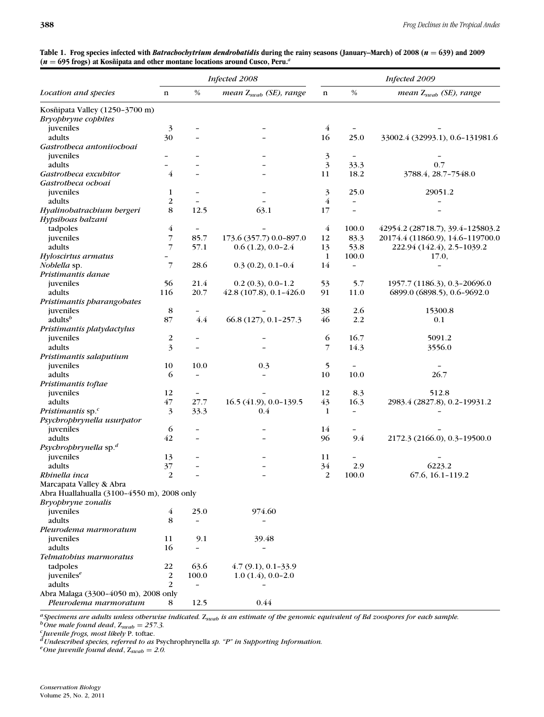|                                            | Infected 2008           |                          |                                    |                | Infected 2009            |                                    |  |
|--------------------------------------------|-------------------------|--------------------------|------------------------------------|----------------|--------------------------|------------------------------------|--|
| Location and species                       | $\mathbf n$             | $\%$                     | mean Z <sub>swab</sub> (SE), range | $\mathbf n$    | $\%$                     | mean Z <sub>swab</sub> (SE), range |  |
| Kosñipata Valley (1250-3700 m)             |                         |                          |                                    |                |                          |                                    |  |
| <b>Bryophryne</b> cophites                 |                         |                          |                                    |                |                          |                                    |  |
| juveniles                                  | $\mathfrak{Z}$          |                          |                                    | $\overline{4}$ |                          |                                    |  |
| adults                                     | 30                      |                          |                                    | 16             | 25.0                     | 33002.4 (32993.1), 0.6-131981.6    |  |
| Gastrotheca antoniiochoai                  |                         |                          |                                    |                |                          |                                    |  |
| juveniles                                  |                         |                          |                                    | 3              |                          |                                    |  |
| adults                                     |                         |                          |                                    | 3              | 33.3                     | 0.7                                |  |
| Gastrotheca excubitor                      | 4                       |                          |                                    | 11             | 18.2                     | 3788.4, 28.7-7548.0                |  |
| Gastrotheca ochoai                         |                         |                          |                                    |                |                          |                                    |  |
| juveniles                                  | 1                       |                          |                                    | 3              | 25.0                     | 29051.2                            |  |
| adults                                     | 2                       |                          |                                    | 4              | $\overline{\phantom{a}}$ |                                    |  |
| Hyalinobatrachium bergeri                  | 8                       | 12.5                     | 63.1                               | 17             |                          |                                    |  |
| Hypsiboas balzani                          |                         |                          |                                    |                |                          |                                    |  |
| tadpoles                                   | 4                       |                          |                                    | $\overline{4}$ | 100.0                    | 42954.2 (28718.7), 39.4-125803.2   |  |
| juveniles                                  | 7                       | 85.7                     | 173.6 (357.7) 0.0-897.0            | 12             | 83.3                     | 20174.4 (11860.9), 14.6-119700.0   |  |
| adults                                     | 7                       | 57.1                     | $0.6(1.2), 0.0-2.4$                | 13             | 53.8                     | 222.94 (142.4), 2.5-1039.2         |  |
| Hyloscirtus armatus                        |                         |                          |                                    | 1              | 100.0                    | 17.0,                              |  |
| Noblella sp.                               | 7                       | 28.6                     | $0.3(0.2), 0.1-0.4$                | 14             | $\overline{\phantom{a}}$ |                                    |  |
| Pristimantis danae                         |                         |                          |                                    |                |                          |                                    |  |
| juveniles                                  | 56                      | 21.4                     | $0.2(0.3), 0.0-1.2$                | 53             | 5.7                      | 1957.7 (1186.3), 0.3-20696.0       |  |
| adults                                     | 116                     | 20.7                     | 42.8 (107.8), 0.1-426.0            | 91             | 11.0                     | 6899.0 (6898.5), 0.6-9692.0        |  |
| Pristimantis pharangobates                 |                         |                          |                                    |                |                          |                                    |  |
| juveniles                                  | 8                       |                          |                                    | 38             | 2.6                      | 15300.8                            |  |
| adults <sup>b</sup>                        | 87                      | 4.4                      | 66.8 (127), 0.1-257.3              | 46             | 2.2                      | 0.1                                |  |
| Pristimantis platydactylus                 |                         |                          |                                    |                |                          |                                    |  |
| juveniles                                  | $\overline{\mathbf{c}}$ |                          |                                    | 6              | 16.7                     | 5091.2                             |  |
| adults                                     | 3                       |                          |                                    | 7              | 14.3                     | 3556.0                             |  |
| Pristimantis salaputium                    |                         |                          |                                    |                |                          |                                    |  |
| juveniles                                  | 10                      | 10.0                     | 0.3                                | 5              |                          |                                    |  |
| adults                                     | 6                       |                          |                                    | 10             | 10.0                     | 26.7                               |  |
| Pristimantis toftae                        |                         |                          |                                    |                |                          |                                    |  |
| juveniles                                  | 12                      |                          |                                    | 12             | 8.3                      | 512.8                              |  |
| adults                                     | 47                      | 27.7                     | 16.5 (41.9), 0.0-139.5             | 43             | 16.3                     | 2983.4 (2827.8), 0.2-19931.2       |  |
| Pristimantis sp. <sup>c</sup>              | 3                       | 33.3                     | 0.4                                | 1              | $\overline{\phantom{a}}$ |                                    |  |
| Psychrophrynella usurpator                 |                         |                          |                                    |                |                          |                                    |  |
| juveniles                                  | 6                       |                          |                                    | 14             |                          |                                    |  |
| adults                                     | 42                      |                          |                                    | 96             | 9.4                      | 2172.3 (2166.0), 0.3-19500.0       |  |
| Psychrophrynella sp. <sup>d</sup>          |                         |                          |                                    |                |                          |                                    |  |
| juveniles<br>adults                        | 13                      |                          |                                    | 11             |                          |                                    |  |
|                                            | 37<br>$\overline{2}$    |                          |                                    | 34             | 2.9                      | 6223.2                             |  |
| Rhinella inca                              |                         |                          |                                    | 2              | 100.0                    | 67.6, 16.1-119.2                   |  |
| Marcapata Valley & Abra                    |                         |                          |                                    |                |                          |                                    |  |
| Abra Huallahualla (3100-4550 m), 2008 only |                         |                          |                                    |                |                          |                                    |  |
| Bryophryne zonalis<br>juveniles            | 4                       | 25.0                     | 974.60                             |                |                          |                                    |  |
| adults                                     | 8                       |                          |                                    |                |                          |                                    |  |
| Pleurodema marmoratum                      |                         |                          |                                    |                |                          |                                    |  |
| juveniles                                  | 11                      | 9.1                      | 39.48                              |                |                          |                                    |  |
| adults                                     | 16                      |                          | $\overline{a}$                     |                |                          |                                    |  |
| Telmatobius marmoratus                     |                         |                          |                                    |                |                          |                                    |  |
| tadpoles                                   | 22                      | 63.6                     | $4.7(9.1), 0.1-33.9$               |                |                          |                                    |  |
| juveniles <sup>e</sup>                     | 2                       | 100.0                    | $1.0(1.4), 0.0-2.0$                |                |                          |                                    |  |
| adults                                     | 2                       | $\overline{\phantom{a}}$ |                                    |                |                          |                                    |  |
| Abra Malaga (3300-4050 m), 2008 only       |                         |                          |                                    |                |                          |                                    |  |
| Pleurodema marmoratum                      | 8                       | 12.5                     | 0.44                               |                |                          |                                    |  |
|                                            |                         |                          |                                    |                |                          |                                    |  |

| Table 1. Frog species infected with <i>Batrachochytrium dendrobatidis</i> during the rainy seasons (January–March) of 2008 ( $n = 639$ ) and 2009 |  |
|---------------------------------------------------------------------------------------------------------------------------------------------------|--|
| $(n = 695$ frogs) at Kosñipata and other montane locations around Cusco, Peru. <sup><i>a</i></sup>                                                |  |

<sup>a</sup>Specimens are adults unless otherwise indicated. Z<sub>swab</sub> is an estimate of the genomic equivalent of Bd zoospores for each sample.<br><sup>b</sup>One male found dead, Z<sub>swab</sub> = 257.3.<br><sup>c</sup>Juvenile frogs, most likely P. toftae.<br><sup>d</sup>U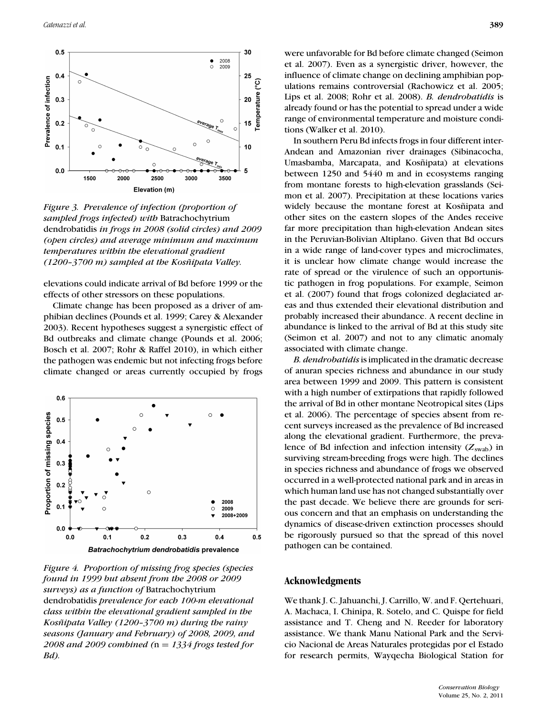

*Figure 3. Prevalence of infection (proportion of sampled frogs infected) with* Batrachochytrium dendrobatidis *in frogs in 2008 (solid circles) and 2009 (open circles) and average minimum and maximum temperatures within the elevational gradient (1200–3700 m)* sampled at the Kosñipata Valley.

elevations could indicate arrival of Bd before 1999 or the effects of other stressors on these populations.

Climate change has been proposed as a driver of amphibian declines (Pounds et al. 1999; Carey & Alexander 2003). Recent hypotheses suggest a synergistic effect of Bd outbreaks and climate change (Pounds et al. 2006; Bosch et al. 2007; Rohr & Raffel 2010), in which either the pathogen was endemic but not infecting frogs before climate changed or areas currently occupied by frogs



*Figure 4. Proportion of missing frog species (species found in 1999 but absent from the 2008 or 2009 surveys) as a function of* Batrachochytrium dendrobatidis *prevalence for each 100-m elevational class within the elevational gradient sampled in the Kosñipata Valley (1200–3700 m) during the rainy seasons (January and February) of 2008, 2009, and 2008 and 2009 combined (*n = *1334 frogs tested for Bd).*

In southern Peru Bd infects frogs in four different inter-Andean and Amazonian river drainages (Sibinacocha, Umasbamba, Marcapata, and Kosñipata) at elevations between 1250 and 5440 m and in ecosystems ranging from montane forests to high-elevation grasslands (Seimon et al. 2007). Precipitation at these locations varies widely because the montane forest at Kosñipata and other sites on the eastern slopes of the Andes receive far more precipitation than high-elevation Andean sites in the Peruvian-Bolivian Altiplano. Given that Bd occurs in a wide range of land-cover types and microclimates, it is unclear how climate change would increase the rate of spread or the virulence of such an opportunistic pathogen in frog populations. For example, Seimon et al. (2007) found that frogs colonized deglaciated areas and thus extended their elevational distribution and probably increased their abundance. A recent decline in abundance is linked to the arrival of Bd at this study site (Seimon et al. 2007) and not to any climatic anomaly associated with climate change.

*B. dendrobatidis*is implicated in the dramatic decrease of anuran species richness and abundance in our study area between 1999 and 2009. This pattern is consistent with a high number of extirpations that rapidly followed the arrival of Bd in other montane Neotropical sites (Lips et al. 2006). The percentage of species absent from recent surveys increased as the prevalence of Bd increased along the elevational gradient. Furthermore, the prevalence of Bd infection and infection intensity  $(Z_{swab})$  in surviving stream-breeding frogs were high. The declines in species richness and abundance of frogs we observed occurred in a well-protected national park and in areas in which human land use has not changed substantially over the past decade. We believe there are grounds for serious concern and that an emphasis on understanding the dynamics of disease-driven extinction processes should be rigorously pursued so that the spread of this novel pathogen can be contained.

# **Acknowledgments**

We thank J. C. Jahuanchi, J. Carrillo, W. and F. Qertehuari, A. Machaca, I. Chinipa, R. Sotelo, and C. Quispe for field assistance and T. Cheng and N. Reeder for laboratory assistance. We thank Manu National Park and the Servicio Nacional de Areas Naturales protegidas por el Estado for research permits, Wayqecha Biological Station for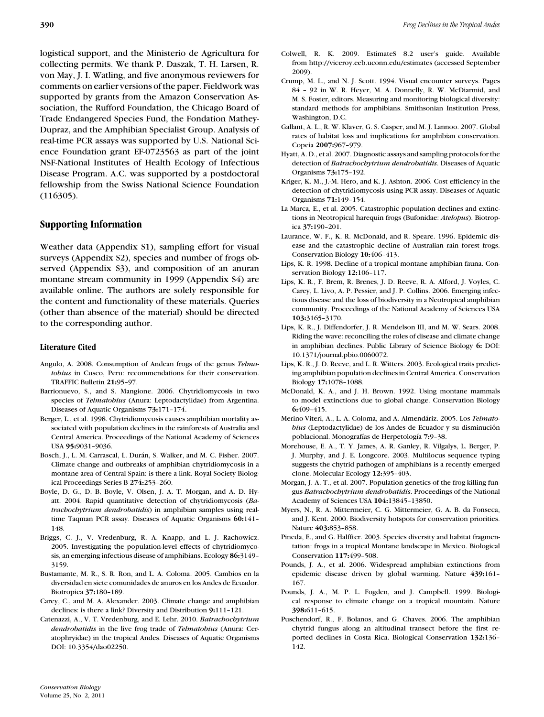logistical support, and the Ministerio de Agricultura for collecting permits. We thank P. Daszak, T. H. Larsen, R. von May, J. I. Watling, and five anonymous reviewers for comments on earlier versions of the paper. Fieldwork was supported by grants from the Amazon Conservation Association, the Rufford Foundation, the Chicago Board of Trade Endangered Species Fund, the Fondation Mathey-Dupraz, and the Amphibian Specialist Group. Analysis of real-time PCR assays was supported by U.S. National Science Foundation grant EF-0723563 as part of the joint NSF-National Institutes of Health Ecology of Infectious Disease Program. A.C. was supported by a postdoctoral fellowship from the Swiss National Science Foundation (116305).

# **Supporting Information**

Weather data (Appendix S1), sampling effort for visual surveys (Appendix S2), species and number of frogs observed (Appendix S3), and composition of an anuran montane stream community in 1999 (Appendix S4) are available online. The authors are solely responsible for the content and functionality of these materials. Queries (other than absence of the material) should be directed to the corresponding author.

#### **Literature Cited**

- Angulo, A. 2008. Consumption of Andean frogs of the genus *Telmatobius* in Cusco, Peru: recommendations for their conservation. TRAFFIC Bulletin **21:**95–97.
- Barrionuevo, S., and S. Mangione. 2006. Chytridiomycosis in two species of *Telmatobius* (Anura: Leptodactylidae) from Argentina. Diseases of Aquatic Organisms **73:**171–174.
- Berger, L., et al. 1998. Chytridiomycosis causes amphibian mortality associated with population declines in the rainforests of Australia and Central America. Proceedings of the National Academy of Sciences USA **95:**9031–9036.
- Bosch, J., L. M. Carrascal, L. Durán, S. Walker, and M. C. Fisher. 2007. Climate change and outbreaks of amphibian chytridiomycosis in a montane area of Central Spain: is there a link. Royal Society Biological Proceedings Series B **274:**253–260.
- Boyle, D. G., D. B. Boyle, V. Olsen, J. A. T. Morgan, and A. D. Hyatt. 2004. Rapid quantitative detection of chytridiomycosis (*Batrachochytrium dendrobatidis*) in amphibian samples using realtime Taqman PCR assay. Diseases of Aquatic Organisms **60:**141– 148.
- Briggs, C. J., V. Vredenburg, R. A. Knapp, and L. J. Rachowicz. 2005. Investigating the population-level effects of chytridiomycosis, an emerging infectious disease of amphibians. Ecology **86:**3149– 3159.
- Bustamante, M. R., S. R. Ron, and L. A. Coloma. 2005. Cambios en la diversidad en siete comunidades de anuros en los Andes de Ecuador. Biotropica **37:**180–189.
- Carey, C., and M. A. Alexander. 2003. Climate change and amphibian declines: is there a link? Diversity and Distribution **9:**111–121.
- Catenazzi, A., V. T. Vredenburg, and E. Lehr. 2010. *Batrachochytrium dendrobatidis* in the live frog trade of *Telmatobius* (Anura: Ceratophryidae) in the tropical Andes. Diseases of Aquatic Organisms DOI: 10.3354/dao02250.
- Colwell, R. K. 2009. EstimateS 8.2 user's guide. Available from http://viceroy.eeb.uconn.edu/estimates (accessed September 2009).
- Crump, M. L., and N. J. Scott. 1994. Visual encounter surveys. Pages 84 – 92 in W. R. Heyer, M. A. Donnelly, R. W. McDiarmid, and M. S. Foster, editors. Measuring and monitoring biological diversity: standard methods for amphibians. Smithsonian Institution Press, Washington, D.C.
- Gallant, A. L., R. W. Klaver, G. S. Casper, and M. J. Lannoo. 2007. Global rates of habitat loss and implications for amphibian conservation. Copeia **2007:**967–979.
- Hyatt, A. D., et al. 2007. Diagnostic assays and sampling protocols for the detection of *Batrachochytrium dendrobatidis*. Diseases of Aquatic Organisms **73:**175–192.
- Kriger, K. M., J.-M. Hero, and K. J. Ashton. 2006. Cost efficiency in the detection of chytridiomycosis using PCR assay. Diseases of Aquatic Organisms **71:**149–154.
- La Marca, E., et al. 2005. Catastrophic population declines and extinctions in Neotropical harequin frogs (Bufonidae: *Atelopus*). Biotropica **37:**190–201.
- Laurance, W. F., K. R. McDonald, and R. Speare. 1996. Epidemic disease and the catastrophic decline of Australian rain forest frogs. Conservation Biology **10:**406–413.
- Lips, K. R. 1998. Decline of a tropical montane amphibian fauna. Conservation Biology **12:**106–117.
- Lips, K. R., F. Brem, R. Brenes, J. D. Reeve, R. A. Alford, J. Voyles, C. Carey, L. Livo, A. P. Pessier, and J. P. Collins. 2006. Emerging infectious disease and the loss of biodiversity in a Neotropical amphibian community. Proceedings of the National Academy of Sciences USA **103:**3165–3170.
- Lips, K. R., J. Diffendorfer, J. R. Mendelson III, and M. W. Sears. 2008. Riding the wave: reconciling the roles of disease and climate change in amphibian declines. Public Library of Science Biology **6:** DOI: 10.1371/journal.pbio.0060072.
- Lips, K. R., J. D. Reeve, and L. R. Witters. 2003. Ecological traits predicting amphibian population declines in Central America. Conservation Biology **17:**1078–1088.
- McDonald, K. A., and J. H. Brown. 1992. Using montane mammals to model extinctions due to global change. Conservation Biology **6:**409–415.
- Merino-Viteri, A., L. A. Coloma, and A. Almendáriz. 2005. Los *Telmato*bius (Leptodactylidae) de los Andes de Ecuador y su disminución poblacional. Monografías de Herpetología 7:9-38.
- Morehouse, E. A., T. Y. James, A. R. Ganley, R. Vilgalys, L. Berger, P. J. Murphy, and J. E. Longcore. 2003. Multilocus sequence typing suggests the chytrid pathogen of amphibians is a recently emerged clone. Molecular Ecology **12:**395–403.
- Morgan, J. A. T., et al. 2007. Population genetics of the frog-killing fungus *Batrachochytrium dendrobatidis*. Proceedings of the National Academy of Sciences USA **104:**13845–13850.
- Myers, N., R. A. Mittermeier, C. G. Mittermeier, G. A. B. da Fonseca, and J. Kent. 2000. Biodiversity hotspots for conservation priorities. Nature **403:**853–858.
- Pineda, E., and G. Halffter. 2003. Species diversity and habitat fragmentation: frogs in a tropical Montane landscape in Mexico. Biological Conservation **117:**499–508.
- Pounds, J. A., et al. 2006. Widespread amphibian extinctions from epidemic disease driven by global warming. Nature **439:**161– 167.
- Pounds, J. A., M. P. L. Fogden, and J. Campbell. 1999. Biological response to climate change on a tropical mountain. Nature **398:**611–615.
- Puschendorf, R., F. Bolanos, and G. Chaves. 2006. The amphibian chytrid fungus along an altitudinal transect before the first reported declines in Costa Rica. Biological Conservation **132:**136– 142.